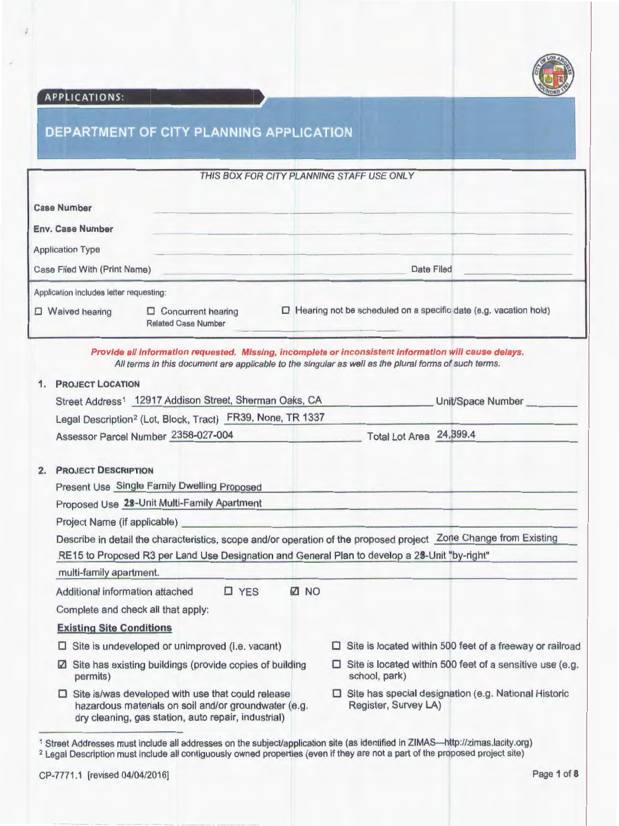

# APPLICATIONS:

# DEPARTMENT OF CITY PLANNING APPLICATION

|                                                                          |                                                  | THIS BOX FOR CITY PLANNING STAFF USE ONLY                               |
|--------------------------------------------------------------------------|--------------------------------------------------|-------------------------------------------------------------------------|
| <b>Case Number</b><br><b>Env. Case Number</b><br><b>Application Type</b> |                                                  |                                                                         |
| Case Filed With (Print Name)                                             |                                                  | Date Filed                                                              |
| Application includes letter requesting:<br>Waived hearing                | Concurrent hearing<br><b>Related Case Number</b> | $\Box$ Hearing not be scheduled on a specific date (e.g. vacation hold) |

| $\mathbf{1}$ . | <b>PROJECT LOCATION</b>                                                                                                                                                                                           |                                                                                  |
|----------------|-------------------------------------------------------------------------------------------------------------------------------------------------------------------------------------------------------------------|----------------------------------------------------------------------------------|
|                | Street Address <sup>1</sup> 12917 Addison Street, Sherman Oaks, CA                                                                                                                                                | Unit/Space Number                                                                |
|                | Legal Description <sup>2</sup> (Lot, Block, Tract) FR39, None, TR 1337                                                                                                                                            |                                                                                  |
|                | Assessor Parcel Number 2358-027-004                                                                                                                                                                               | Total Lot Area 24, 399.4                                                         |
| 2.             | <b>PROJECT DESCRIPTION</b>                                                                                                                                                                                        |                                                                                  |
|                | Present Use Single Family Dwelling Proposed                                                                                                                                                                       |                                                                                  |
|                | Proposed Use 28-Unit Multi-Family Apartment                                                                                                                                                                       |                                                                                  |
|                |                                                                                                                                                                                                                   |                                                                                  |
|                | Describe in detail the characteristics, scope and/or operation of the proposed project Zone Change from Existing<br>RE15 to Proposed R3 per Land Use Designation and General Plan to develop a 28-Unit "by-right" |                                                                                  |
|                | multi-family apartment.                                                                                                                                                                                           |                                                                                  |
|                | <b>Z NO</b><br>$\square$ YES<br>Additional information attached                                                                                                                                                   |                                                                                  |
|                | Complete and check all that apply:                                                                                                                                                                                |                                                                                  |
|                | <b>Existing Site Conditions</b>                                                                                                                                                                                   |                                                                                  |
|                | Site is undeveloped or unimproved (i.e. vacant)                                                                                                                                                                   | $\Box$ Site is located within 500 feet of a freeway or railroad                  |
|                |                                                                                                                                                                                                                   |                                                                                  |
|                | Site has existing buildings (provide copies of building<br>$\sqrt{2}$<br>permits)                                                                                                                                 | $\Box$ Site is located within 500 feet of a sensitive use (e.g.<br>school, park) |

2 Legal Description must include all contiguously owned properties (even if they are not a part of the proposed project site)

CP-7771 .1 [revised 04/04/2016] Page 1of8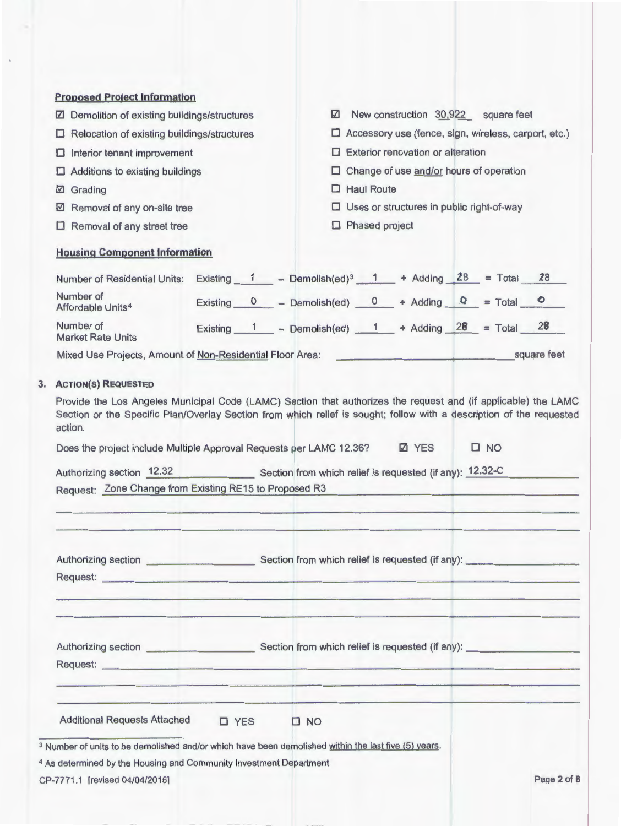| <b>Proposed Project Information</b>                                           |            |                                                                                                                                                                                                                                        |
|-------------------------------------------------------------------------------|------------|----------------------------------------------------------------------------------------------------------------------------------------------------------------------------------------------------------------------------------------|
| ☑ Demolition of existing buildings/structures                                 |            | ☑<br>New construction 30,922 square feet                                                                                                                                                                                               |
| Relocation of existing buildings/structures<br>□                              |            | $\Box$ Accessory use (fence, sign, wireless, carport, etc.)                                                                                                                                                                            |
| Interior tenant improvement<br>⊔                                              |            | $\Box$ Exterior renovation or alteration                                                                                                                                                                                               |
| Additions to existing buildings<br>o                                          |            | Change of use and/or hours of operation<br>u                                                                                                                                                                                           |
| Grading<br>M                                                                  |            | $\Box$ Haul Route                                                                                                                                                                                                                      |
| Removal of any on-site tree<br>M                                              |            | $\square$ Uses or structures in public right-of-way                                                                                                                                                                                    |
| $\Box$ Removal of any street tree                                             |            | Phased project                                                                                                                                                                                                                         |
| <b>Housing Component Information</b>                                          |            |                                                                                                                                                                                                                                        |
|                                                                               |            | Number of Residential Units: Existing $1$ - Demolish(ed) <sup>3</sup> $1$ + Adding $28$ = Total 28                                                                                                                                     |
| Number of<br>Affordable Units <sup>4</sup>                                    |            | Existing $0$ - Demolish(ed) $0$ + Adding $Q$ = Total $0$                                                                                                                                                                               |
| Number of<br><b>Market Rate Units</b>                                         |            | Existing $1$ - Demolish(ed) $1$ + Adding $28$ = Total 28                                                                                                                                                                               |
| Mixed Use Projects, Amount of Non-Residential Floor Area:                     |            | square feet                                                                                                                                                                                                                            |
| <b>ACTION(S) REQUESTED</b>                                                    |            |                                                                                                                                                                                                                                        |
|                                                                               |            |                                                                                                                                                                                                                                        |
| action.                                                                       |            |                                                                                                                                                                                                                                        |
|                                                                               |            | <b>Z</b> YES<br>$\square$ NO<br>Does the project include Multiple Approval Requests per LAMC 12.36?                                                                                                                                    |
|                                                                               |            | Authorizing section 12.32 Section from which relief is requested (if any): 12.32-C                                                                                                                                                     |
| Request: Zone Change from Existing RE15 to Proposed R3                        |            |                                                                                                                                                                                                                                        |
|                                                                               |            |                                                                                                                                                                                                                                        |
|                                                                               |            | Provide the Los Angeles Municipal Code (LAMC) Section that authorizes the request and (if applicable) the LAMC<br>Section or the Specific Plan/Overlay Section from which relief is sought; follow with a description of the requested |
|                                                                               |            | <u> 1980 - Johann Stoff, deutscher Stoff, der Stoff, der Stoff, der Stoff, der Stoff, der Stoff, der Stoff, der S</u>                                                                                                                  |
|                                                                               |            |                                                                                                                                                                                                                                        |
|                                                                               |            |                                                                                                                                                                                                                                        |
| <b>Additional Requests Attached</b>                                           | $\Box$ YES | $\Box$ NO                                                                                                                                                                                                                              |
|                                                                               |            | <sup>3</sup> Number of units to be demolished and/or which have been demolished within the last five (5) years.                                                                                                                        |
| <sup>4</sup> As determined by the Housing and Community Investment Department |            | Page 2 of 8                                                                                                                                                                                                                            |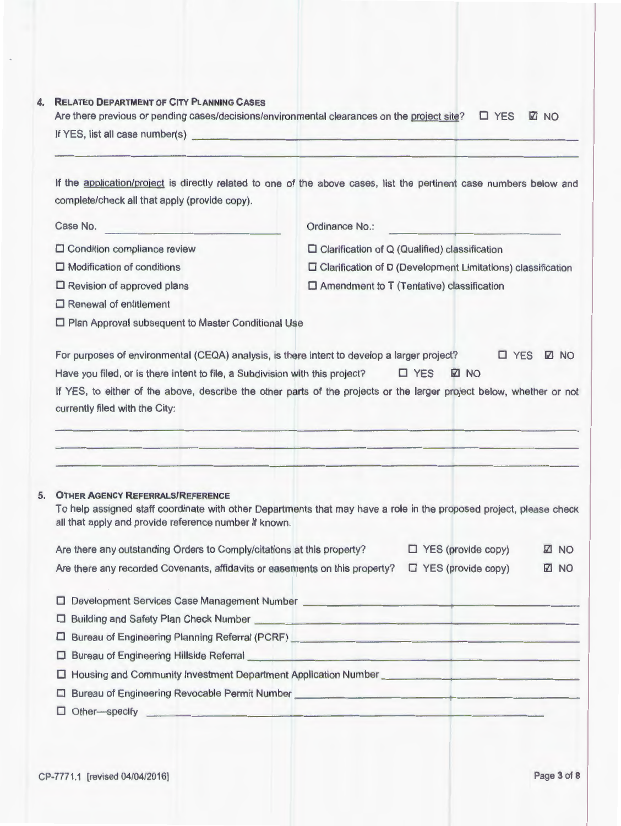|                                                                        | Are there previous or pending cases/decisions/environmental clearances on the project site?<br>If YES, list all case number(s) example to the control of the control of the control of the control of the control of the control of the control of the control of the control of the control of the control of the control of | $\Box$ YES<br><b>Z NO</b> |
|------------------------------------------------------------------------|-------------------------------------------------------------------------------------------------------------------------------------------------------------------------------------------------------------------------------------------------------------------------------------------------------------------------------|---------------------------|
|                                                                        |                                                                                                                                                                                                                                                                                                                               |                           |
| complete/check all that apply (provide copy).                          | If the application/project is directly related to one of the above cases, list the pertinent case numbers below and                                                                                                                                                                                                           |                           |
| Case No.                                                               | Ordinance No.:                                                                                                                                                                                                                                                                                                                |                           |
| $\Box$ Condition compliance review                                     | $\Box$ Clarification of Q (Qualified) classification                                                                                                                                                                                                                                                                          |                           |
| $\square$ Modification of conditions                                   | $\Box$ Clarification of D (Development Limitations) classification                                                                                                                                                                                                                                                            |                           |
| $\Box$ Revision of approved plans                                      | $\square$ Amendment to T (Tentative) classification                                                                                                                                                                                                                                                                           |                           |
| $\Box$ Renewal of entitlement                                          |                                                                                                                                                                                                                                                                                                                               |                           |
| □ Plan Approval subsequent to Master Conditional Use                   |                                                                                                                                                                                                                                                                                                                               |                           |
|                                                                        | For purposes of environmental (CEQA) analysis, is there intent to develop a larger project?                                                                                                                                                                                                                                   | $\Box$ YES<br><b>Z NO</b> |
|                                                                        |                                                                                                                                                                                                                                                                                                                               |                           |
|                                                                        |                                                                                                                                                                                                                                                                                                                               |                           |
|                                                                        | $\Box$ YES<br><b>Z NO</b><br>Have you filed, or is there intent to file, a Subdivision with this project?                                                                                                                                                                                                                     |                           |
|                                                                        | If YES, to either of the above, describe the other parts of the projects or the larger project below, whether or not                                                                                                                                                                                                          |                           |
| currently filed with the City:                                         |                                                                                                                                                                                                                                                                                                                               |                           |
|                                                                        |                                                                                                                                                                                                                                                                                                                               |                           |
|                                                                        |                                                                                                                                                                                                                                                                                                                               |                           |
|                                                                        |                                                                                                                                                                                                                                                                                                                               |                           |
| <b>OTHER AGENCY REFERRALS/REFERENCE</b>                                | To help assigned staff coordinate with other Departments that may have a role in the proposed project, please check                                                                                                                                                                                                           |                           |
| all that apply and provide reference number if known.                  |                                                                                                                                                                                                                                                                                                                               |                           |
| Are there any outstanding Orders to Comply/citations at this property? | $\Box$ YES (provide copy)                                                                                                                                                                                                                                                                                                     | <b>Z NO</b>               |
|                                                                        | $\Box$ YES (provide copy)<br>Are there any recorded Covenants, affidavits or easements on this property?                                                                                                                                                                                                                      | <b>Z NO</b>               |
|                                                                        |                                                                                                                                                                                                                                                                                                                               |                           |
| □                                                                      |                                                                                                                                                                                                                                                                                                                               |                           |
| □                                                                      | Building and Safety Plan Check Number League and Safety Plan Check Number League and Safety Plan Check Number                                                                                                                                                                                                                 |                           |
| $\Box$                                                                 | Bureau of Engineering Planning Referral (PCRF) <b>Contract Contract Contract Contract Contract Contract Contract Contract Contract Contract Contract Contract Contract Contract Contract Contract Contract Contract Contract Con</b>                                                                                          |                           |
| □                                                                      | Bureau of Engineering Hillside Referral <b>Constitution</b> and the construction of Engineering Hillside Referral                                                                                                                                                                                                             |                           |
| ш<br>□                                                                 | Housing and Community Investment Department Application Number __________________<br>Bureau of Engineering Revocable Permit Number <b>Constitution</b> and the entity of the series of the series of the series of the series of the series of the series of the series of the series of the series of the series of the      |                           |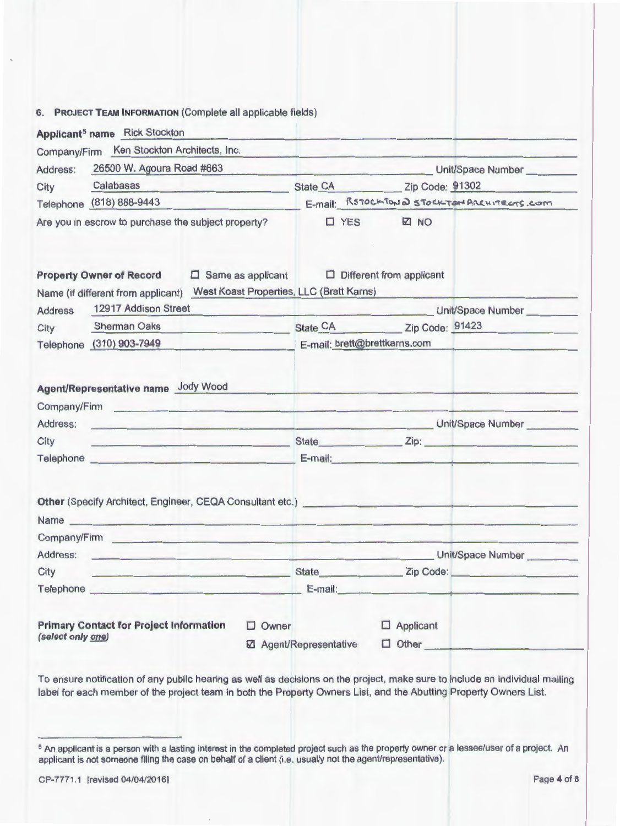## 6. PROJECT TEAM INFORMATION (Complete all applicable fields)

|                              | Company/Firm Ken Stockton Architects, Inc.                                                                                                                                                                                                                                                                                                                                                                                                                       |                                                                      |                                                                                                                                                                                                                                |               |                                 |                                                                                                       |  |
|------------------------------|------------------------------------------------------------------------------------------------------------------------------------------------------------------------------------------------------------------------------------------------------------------------------------------------------------------------------------------------------------------------------------------------------------------------------------------------------------------|----------------------------------------------------------------------|--------------------------------------------------------------------------------------------------------------------------------------------------------------------------------------------------------------------------------|---------------|---------------------------------|-------------------------------------------------------------------------------------------------------|--|
| Address:                     | 26500 W. Agoura Road #663                                                                                                                                                                                                                                                                                                                                                                                                                                        |                                                                      |                                                                                                                                                                                                                                |               |                                 | Unit/Space Number                                                                                     |  |
| City                         | Calabasas                                                                                                                                                                                                                                                                                                                                                                                                                                                        | the company's company's company's company's                          |                                                                                                                                                                                                                                |               |                                 | State CA Zip Code: 91302                                                                              |  |
|                              | Telephone (818) 888-9443                                                                                                                                                                                                                                                                                                                                                                                                                                         |                                                                      |                                                                                                                                                                                                                                |               |                                 | E-mail: RSTOCKTOND STOCKTONARCHITECTS.COM                                                             |  |
|                              | Are you in escrow to purchase the subject property?                                                                                                                                                                                                                                                                                                                                                                                                              |                                                                      |                                                                                                                                                                                                                                | $\square$ YES | <b>☑</b> NO                     |                                                                                                       |  |
|                              | <b>Property Owner of Record</b><br>Name (if different from applicant)                                                                                                                                                                                                                                                                                                                                                                                            | $\Box$ Same as applicant<br>West Koast Properties, LLC (Brett Karns) |                                                                                                                                                                                                                                |               | $\Box$ Different from applicant |                                                                                                       |  |
| <b>Address</b>               | 12917 Addison Street                                                                                                                                                                                                                                                                                                                                                                                                                                             |                                                                      | the company's state of the company's state of the company's state of the company's state of the company's state of the company's state of the company's state of the company's state of the company's state of the company's s |               |                                 | Unit/Space Number                                                                                     |  |
| City                         | <b>Sherman Oaks</b>                                                                                                                                                                                                                                                                                                                                                                                                                                              |                                                                      |                                                                                                                                                                                                                                |               |                                 | State CA Zip Code: 91423                                                                              |  |
|                              | Telephone (310) 903-7949                                                                                                                                                                                                                                                                                                                                                                                                                                         |                                                                      |                                                                                                                                                                                                                                |               | E-mail: brett@brettkarns.com    |                                                                                                       |  |
|                              | Agent/Representative name Jody Wood<br>Company/Firm entertainment of the company of the company of the company of the company of the company of the company of the company of the company of the company of the company of the company of the company of the company                                                                                                                                                                                             |                                                                      |                                                                                                                                                                                                                                |               |                                 |                                                                                                       |  |
|                              |                                                                                                                                                                                                                                                                                                                                                                                                                                                                  |                                                                      |                                                                                                                                                                                                                                |               |                                 |                                                                                                       |  |
|                              |                                                                                                                                                                                                                                                                                                                                                                                                                                                                  |                                                                      |                                                                                                                                                                                                                                |               |                                 | Unit/Space Number Communication of the Unit of Space Number Communication of the Unit of Space Number |  |
|                              | <u>under the state state state state state state state state state state state state state state state state state state state state state state state state state state state state state state state state state state state s</u>                                                                                                                                                                                                                             |                                                                      |                                                                                                                                                                                                                                |               |                                 |                                                                                                       |  |
|                              | Telephone experience and the contract of the contract of the contract of the contract of the contract of the contract of the contract of the contract of the contract of the contract of the contract of the contract of the c                                                                                                                                                                                                                                   |                                                                      |                                                                                                                                                                                                                                |               |                                 | E-mail: <u>Alexander State (2001)</u>                                                                 |  |
|                              | Other (Specify Architect, Engineer, CEQA Consultant etc.) [2010] Consultant etc. and the set of the set of the set of the set of the set of the set of the set of the set of the set of the set of the set of the set of the s<br>Name experience and the second contract of the second contract of the second contract of the second contract of the second contract of the second contract of the second contract of the second contract of the second contrac |                                                                      |                                                                                                                                                                                                                                |               |                                 |                                                                                                       |  |
|                              | Company/Firm the company of the company of the company of the company of the company of the company of the company of the company of the company of the company of the company of the company of the company of the company of                                                                                                                                                                                                                                   |                                                                      |                                                                                                                                                                                                                                |               |                                 |                                                                                                       |  |
| Address:<br>City<br>Address: |                                                                                                                                                                                                                                                                                                                                                                                                                                                                  | <u> 1980 - Johann John Stein, fransk politik (d. 1980)</u>           |                                                                                                                                                                                                                                |               |                                 | Unit/Space Number                                                                                     |  |
| City                         | <u> 1989 - Johann John Stein, fransk politik (</u>                                                                                                                                                                                                                                                                                                                                                                                                               |                                                                      | E-mail:                                                                                                                                                                                                                        |               |                                 | State <b>Example 2</b> Zip Code:                                                                      |  |

To ensure notification of any public hearing as well as decisions on the project, make sure to include an individual mailing label for each member of the project team in both the Property Owners List, and the Abutting Property Owners List.

s An applicant is a person with a lasting interest in the completed project such as the property owner or a lessee/user of a project. An applicant is not someone filing the case on behalf of a client (i.e. usually not the agent/representative).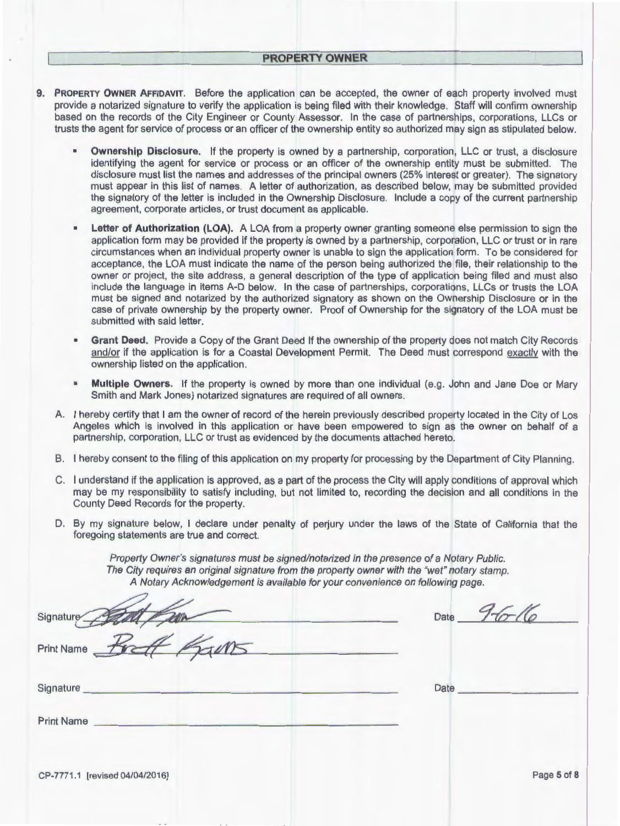- **9. PROPERTY OWNER AFFIDAVIT.** Before the application can be accepted, the owner of each property involved must provide a notarized signature to verify the application is being filed with their knowledge. Staff will confirm ownership based on the records of the City Engineer or County Assessor. In the case of partnerships, corporations, LLCs or trusts the agent for service of process or an officer of the ownership entity so authorized may sign as stipulated below.
	- **Ownership Disclosure.** If the property is owned by a partnership, corporation, LLC or trust, a disclosure identifying the agent for service or process or an officer of the ownership entity must be submitted. The disclosure must list the names and addresses of the principal owners (25% interest or greater). The signatory must appear in this list of names. A letter of authorization, as described below, may be submitted provided the signatory of the letter is included in the Ownership Disclosure. Include a copy of the current partnership agreement, corporate articles, or trust document as applicable.
	- **Letter of Authorization (LOA).** A LOA from a property owner granting someone else permission to sign the application form may be provided if the property is owned by a partnership, corporation, LLC or trust or in rare circumstances when an individual property owner is unable to sign the application form. To be considered for acceptance, the LOA must indicate the name of the person being authorized the file, their relationship to the owner or project, the site address, a general description of the type of application being filed and must also include the language in items A-D below. In the case of partnerships, corporations, LLCs or trusts the LOA must be signed and notarized by the authorized signatory as shown on the Ownership Disclosure or in the case of private ownership by the property owner. Proof of Ownership for the signatory of the LOA must be submitted with said letter.
	- **Grant Deed.** Provide a Copy of the Grant Deed If the ownership of the property does not match City Records and/or if the application is for a Coastal Development Permit. The Deed must correspond exactly with the ownership listed on the application.
	- **Multiple Owners.** If the property is owned by more than one individual (e.g. John and Jane Doe or Mary Smith and Mark Jones) notarized signatures are required of all owners.
	- A. I hereby certify that I am the owner of record of the herein previously described property located in the City of Los Angeles which is involved in this application or have been empowered to sign as the owner on behalf of a partnership, corporation, LLC or trust as evidenced by the documents attached hereto.
	- B. I hereby consent to the filing of this application on my property for processing by the Department of City Planning.
	- C. I understand if the application is approved, as a part of the process the City will apply conditions of approval which may be my responsibility to satisfy including, but not limited to, recording the decision and all conditions in the County Deed Records for the property.
	- D. By my signature below, I declare under penalty of perjury under the laws of the State of California that the foregoing statements are true and correct.

| County Deed Records for the property.                                                                                                                                                                                                                                     |                  |
|---------------------------------------------------------------------------------------------------------------------------------------------------------------------------------------------------------------------------------------------------------------------------|------------------|
| D. By my signature below, I declare under penalty of perjury under the laws of the State of California that the<br>foregoing statements are true and correct.                                                                                                             |                  |
| Property Owner's signatures must be signed/notarized in the presence of a Notary Public.<br>The City requires an original signature from the property owner with the "wet" notary stamp.<br>A Notary Acknowledgement is available for your convenience on following page. |                  |
| Signature<br><u> De la Barca de la Barca de la Barca de la Barca de la Barca de la Barca de la Barca de la Barca de la Barca de la Barca de la Barca de la Barca de la Barca de la Barca de la Barca de la Barca de la Barca de la Barca de l</u>                         | Date $9-6-16$    |
| Print Name <b>For</b><br>5005                                                                                                                                                                                                                                             |                  |
| Signature <b>Executive Signature Executive Contract of Contract Contract Contract Contract Contract Contract Contract Contract Contract Contract Contract Contract Contract Contract Contract Contract Contract Contract Contr</b>                                        | Date <b>Date</b> |
| Print Name                                                                                                                                                                                                                                                                |                  |
| CP-7771.1 [revised 04/04/2016]                                                                                                                                                                                                                                            | Page 5 of 8      |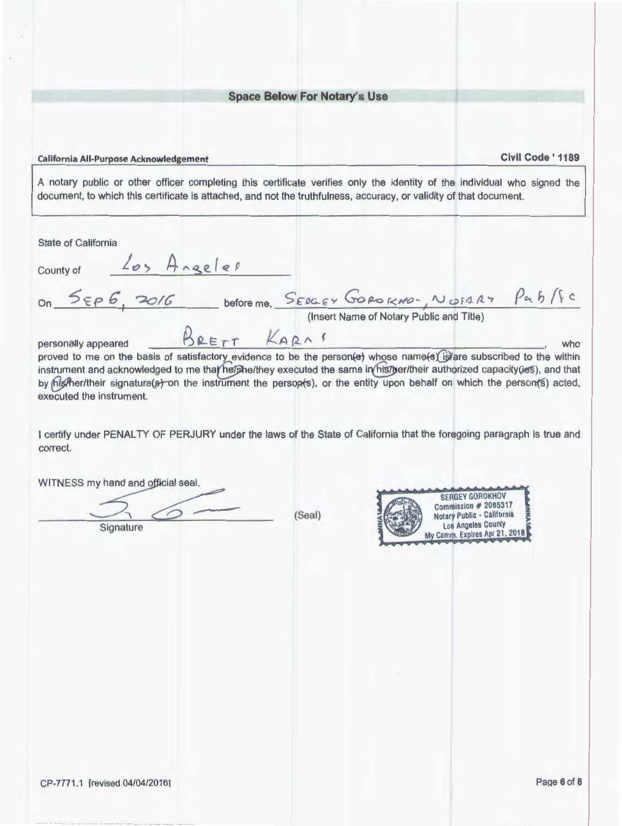### Space Below For Notary's Use

#### California All-Purpose Acknowledgement Civil Code ' 1189

A notary public or other officer completing this certificate verifies only the identity of the individual who signed the document, to which this certificate is attached, and not the truthfulness, accuracy, or validity of that document.

State of California  $County$  of  $\frac{205 \text{ A} \cdot \text{ge} \cdot \text{e} \cdot \text{O}}{200}$ On <u>5EP 6, 2016</u> before me, SERGEY GOROKNO-, NOTARY Pab/fc (Insert Name of Notary Public and Title) personally appeared  $\beta$  **PETT**  $KA$   $\beta$   $\gamma$   $\gamma$  who proved to me on the basis of satisfactory evidence to be the person(e) whose name(s) is are subscribed to the within instrument and acknowledged to me that he/she/they executed the same in his/ber/their authorized capacity(ies), and that by his the r/their signature(s) on the instrument the persop(s), or the entity upon behalf on which the person(s) acted, executed the instrument. I certify under PENAL TY OF PERJURY under the laws of the State of California that the foregoing paragraph is true and correct. WITNESS my hand and official seal. **SERGEY GOROKHOV** Commission # 2065317 (Seal) Notary Public - California Los Angeles County **Signature** My Comm. Expires Apr 21, 2018 CP-7771 .1 [revised 04/04/20161 PaQe 6 of 8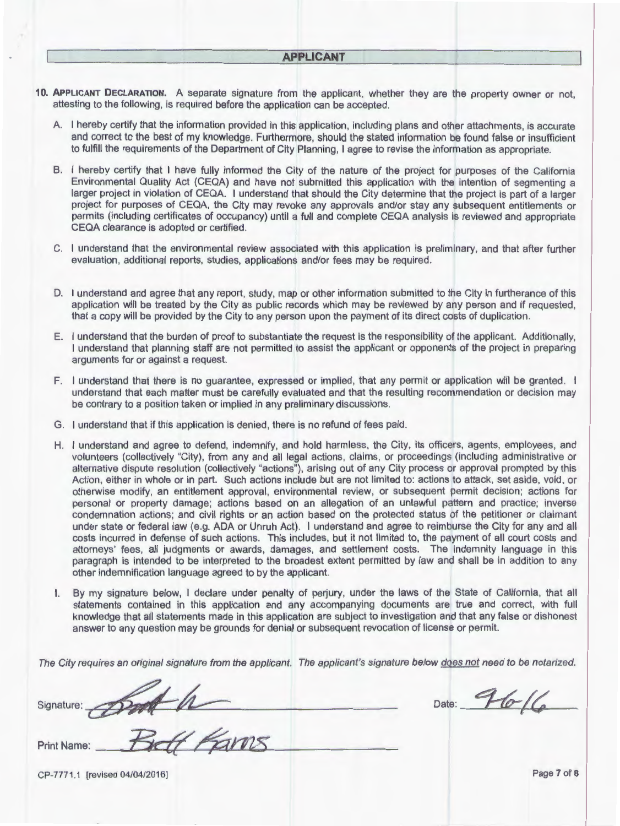#### **APPLICANT**

- **10. APPLICANT DECLARATION.** A separate signature from the applicant, whether they are the property owner or not, attesting to the following, is required before the application can be accepted.
	- A. I hereby certify that the information provided in this application, including plans and other attachments, is accurate and correct to the best of my knowledge. Furthermore, should the stated information be found false or insufficient to fulfill the requirements of the Department of City Planning, I agree to revise the information as appropriate.
	- B. I hereby certify that I have fully informed the City of the nature of the project for purposes of the California Environmental Quality Act (CEQA) and have not submitted this application with the intention of segmenting a larger project in violation of CEQA. I understand that should the City determine that the project is part of a larger project for purposes of CEQA, the City may revoke any approvals and/or stay any subsequent entitlements or permits (including certificates of occupancy) until a full and complete CEQA analysis is reviewed and appropriate CEQA clearance is adopted or certified.
	- C. I understand that the environmental review associated with this application is preliminary, and that after further evaluation, additional reports, studies, applications and/or fees may be required.
	- D. I understand and agree that any report, study, map or other information submitted to the City in furtherance of this application will be treated by the City as public records which may be reviewed by any person and if requested, that a copy will be provided by the City to any person upon the payment of its direct costs of duplication.
	- E. I understand that the burden of proof to substantiate the request is the responsibility of the applicant. Additionally, I understand that planning staff are not permitted to assist the applicant or opponents of the project in preparing arguments for or against a request.
	- F. I understand that there is no guarantee, expressed or implied, that any permit or application will be granted. I understand that each matter must be carefully evaluated and that the resulting recommendation or decision may be contrary to a position taken or implied in any preliminary discussions.
	- G. I understand that if this application is denied, there is no refund of fees paid.
	- H. I understand and agree to defend, indemnify, and hold harmless, the City, its officers, agents, employees, and volunteers (collectively "City), from any and all legal actions, claims, or proceedings (including administrative or alternative dispute resolution (collectively "actions"), arising out of any City process or approval prompted by this Action, either in whole or in part. Such actions include but are not limited to: actions to attack, set aside, void, or otherwise modify, an entitlement approval, environmental review, or subsequent permit decision; actions for personal or property damage; actions based on an allegation of an unlawful pattern and practice; inverse condemnation actions; and civil rights or an action based on the protected status of the petitioner or claimant under state or federal law (e.g. ADA or Unruh Act). I understand and agree to reimburse the City for any and all costs incurred in defense of such actions. This includes, but it not limited to, the payment of all court costs and attorneys' fees, all judgments or awards, damages, and settlement costs. The indemnity language in this paragraph is intended to be interpreted to the broadest extent permitted by law and shall be in addition to any other indemnification language agreed to by the applicant.
	- I. By my signature below, I declare under penalty of perjury, under the laws of the State of California, that all statements contained in this application and any accompanying documents are true and correct, with full knowledge that all statements made in this application are subject to investigation and that any false or dishonest answer to any question may be grounds for denial or subsequent revocation of license or permit.

The City requires an original signature from the applicant. The applicant's signature below does not need to be notarized.

| Signature: port h      | Date: $7616$ |
|------------------------|--------------|
| Print Name: Belf Farms |              |

CP-7771 .1 [revised 0410412016] Page 7 of **8**